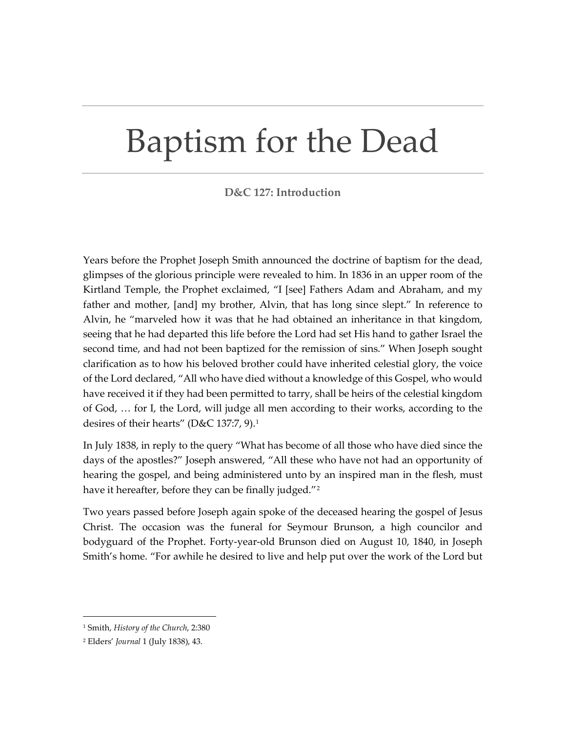## Baptism for the Dead

## **D&C 127: Introduction**

Years before the Prophet Joseph Smith announced the doctrine of baptism for the dead, glimpses of the glorious principle were revealed to him. In 1836 in an upper room of the Kirtland Temple, the Prophet exclaimed, "I [see] Fathers Adam and Abraham, and my father and mother, [and] my brother, Alvin, that has long since slept." In reference to Alvin, he "marveled how it was that he had obtained an inheritance in that kingdom, seeing that he had departed this life before the Lord had set His hand to gather Israel the second time, and had not been baptized for the remission of sins." When Joseph sought clarification as to how his beloved brother could have inherited celestial glory, the voice of the Lord declared, "All who have died without a knowledge of this Gospel, who would have received it if they had been permitted to tarry, shall be heirs of the celestial kingdom of God, … for I, the Lord, will judge all men according to their works, according to the desires of their hearts" (D&C [1](#page-0-0)37:7, 9).<sup>1</sup>

In July 1838, in reply to the query "What has become of all those who have died since the days of the apostles?" Joseph answered, "All these who have not had an opportunity of hearing the gospel, and being administered unto by an inspired man in the flesh, must have it hereafter, before they can be finally judged."<sup>[2](#page-0-1)</sup>

Two years passed before Joseph again spoke of the deceased hearing the gospel of Jesus Christ. The occasion was the funeral for Seymour Brunson, a high councilor and bodyguard of the Prophet. Forty-year-old Brunson died on August 10, 1840, in Joseph Smith's home. "For awhile he desired to live and help put over the work of the Lord but

<span id="page-0-0"></span><sup>1</sup> Smith, *History of the Church*, 2:380

<span id="page-0-1"></span><sup>2</sup> Elders' *Journal* 1 (July 1838), 43.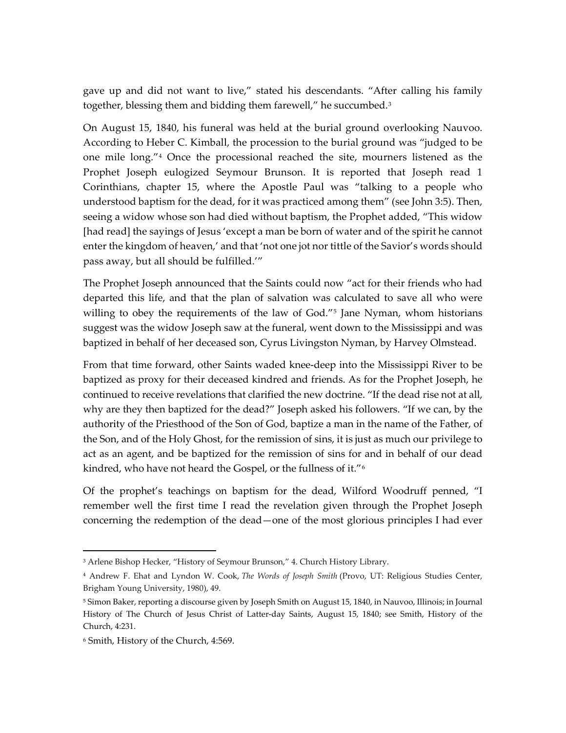gave up and did not want to live," stated his descendants. "After calling his family together, blessing them and bidding them farewell," he succumbed.[3](#page-1-0)

On August 15, 1840, his funeral was held at the burial ground overlooking Nauvoo. According to Heber C. Kimball, the procession to the burial ground was "judged to be one mile long."[4](#page-1-1) Once the processional reached the site, mourners listened as the Prophet Joseph eulogized Seymour Brunson. It is reported that Joseph read 1 Corinthians, chapter 15, where the Apostle Paul was "talking to a people who understood baptism for the dead, for it was practiced among them" (see John 3:5). Then, seeing a widow whose son had died without baptism, the Prophet added, "This widow [had read] the sayings of Jesus 'except a man be born of water and of the spirit he cannot enter the kingdom of heaven,' and that 'not one jot nor tittle of the Savior's words should pass away, but all should be fulfilled.'"

The Prophet Joseph announced that the Saints could now "act for their friends who had departed this life, and that the plan of salvation was calculated to save all who were willing to obey the requirements of the law of God.<sup>"[5](#page-1-2)</sup> Jane Nyman, whom historians suggest was the widow Joseph saw at the funeral, went down to the Mississippi and was baptized in behalf of her deceased son, Cyrus Livingston Nyman, by Harvey Olmstead.

From that time forward, other Saints waded knee-deep into the Mississippi River to be baptized as proxy for their deceased kindred and friends. As for the Prophet Joseph, he continued to receive revelations that clarified the new doctrine. "If the dead rise not at all, why are they then baptized for the dead?" Joseph asked his followers. "If we can, by the authority of the Priesthood of the Son of God, baptize a man in the name of the Father, of the Son, and of the Holy Ghost, for the remission of sins, it is just as much our privilege to act as an agent, and be baptized for the remission of sins for and in behalf of our dead kindred, who have not heard the Gospel, or the fullness of it."[6](#page-1-3)

Of the prophet's teachings on baptism for the dead, Wilford Woodruff penned, "I remember well the first time I read the revelation given through the Prophet Joseph concerning the redemption of the dead—one of the most glorious principles I had ever

<span id="page-1-0"></span><sup>&</sup>lt;sup>3</sup> Arlene Bishop Hecker, "History of Seymour Brunson," 4. Church History Library.

<span id="page-1-1"></span><sup>4</sup> Andrew F. Ehat and Lyndon W. Cook, *The Words of Joseph Smith* (Provo, UT: Religious Studies Center, Brigham Young University, 1980), 49.

<span id="page-1-2"></span><sup>5</sup> Simon Baker, reporting a discourse given by Joseph Smith on August 15, 1840, in Nauvoo, Illinois; in Journal History of The Church of Jesus Christ of Latter-day Saints, August 15, 1840; see Smith, History of the Church, 4:231.

<span id="page-1-3"></span><sup>6</sup> Smith, History of the Church, 4:569.